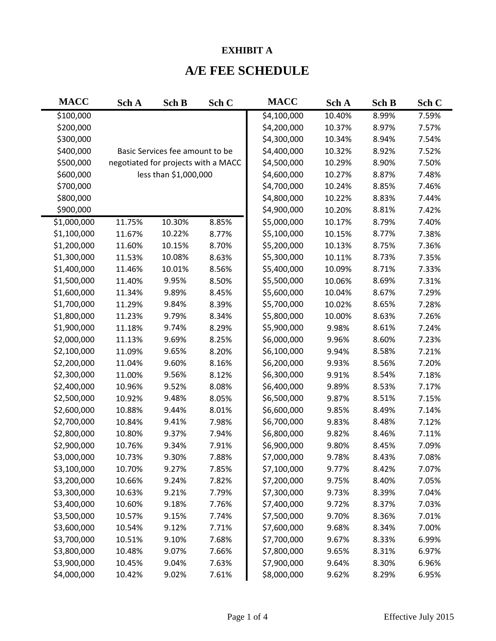## **EXHIBIT A**

## **A/E FEE SCHEDULE**

| <b>MACC</b> | Sch A  | Sch B                               | Sch C | <b>MACC</b> | Sch A  | Sch B | Sch C |
|-------------|--------|-------------------------------------|-------|-------------|--------|-------|-------|
| \$100,000   |        |                                     |       | \$4,100,000 | 10.40% | 8.99% | 7.59% |
| \$200,000   |        |                                     |       | \$4,200,000 | 10.37% | 8.97% | 7.57% |
| \$300,000   |        |                                     |       | \$4,300,000 | 10.34% | 8.94% | 7.54% |
| \$400,000   |        | Basic Services fee amount to be     |       | \$4,400,000 | 10.32% | 8.92% | 7.52% |
| \$500,000   |        | negotiated for projects with a MACC |       | \$4,500,000 | 10.29% | 8.90% | 7.50% |
| \$600,000   |        | less than \$1,000,000               |       | \$4,600,000 | 10.27% | 8.87% | 7.48% |
| \$700,000   |        |                                     |       | \$4,700,000 | 10.24% | 8.85% | 7.46% |
| \$800,000   |        |                                     |       | \$4,800,000 | 10.22% | 8.83% | 7.44% |
| \$900,000   |        |                                     |       | \$4,900,000 | 10.20% | 8.81% | 7.42% |
| \$1,000,000 | 11.75% | 10.30%                              | 8.85% | \$5,000,000 | 10.17% | 8.79% | 7.40% |
| \$1,100,000 | 11.67% | 10.22%                              | 8.77% | \$5,100,000 | 10.15% | 8.77% | 7.38% |
| \$1,200,000 | 11.60% | 10.15%                              | 8.70% | \$5,200,000 | 10.13% | 8.75% | 7.36% |
| \$1,300,000 | 11.53% | 10.08%                              | 8.63% | \$5,300,000 | 10.11% | 8.73% | 7.35% |
| \$1,400,000 | 11.46% | 10.01%                              | 8.56% | \$5,400,000 | 10.09% | 8.71% | 7.33% |
| \$1,500,000 | 11.40% | 9.95%                               | 8.50% | \$5,500,000 | 10.06% | 8.69% | 7.31% |
| \$1,600,000 | 11.34% | 9.89%                               | 8.45% | \$5,600,000 | 10.04% | 8.67% | 7.29% |
| \$1,700,000 | 11.29% | 9.84%                               | 8.39% | \$5,700,000 | 10.02% | 8.65% | 7.28% |
| \$1,800,000 | 11.23% | 9.79%                               | 8.34% | \$5,800,000 | 10.00% | 8.63% | 7.26% |
| \$1,900,000 | 11.18% | 9.74%                               | 8.29% | \$5,900,000 | 9.98%  | 8.61% | 7.24% |
| \$2,000,000 | 11.13% | 9.69%                               | 8.25% | \$6,000,000 | 9.96%  | 8.60% | 7.23% |
| \$2,100,000 | 11.09% | 9.65%                               | 8.20% | \$6,100,000 | 9.94%  | 8.58% | 7.21% |
| \$2,200,000 | 11.04% | 9.60%                               | 8.16% | \$6,200,000 | 9.93%  | 8.56% | 7.20% |
| \$2,300,000 | 11.00% | 9.56%                               | 8.12% | \$6,300,000 | 9.91%  | 8.54% | 7.18% |
| \$2,400,000 | 10.96% | 9.52%                               | 8.08% | \$6,400,000 | 9.89%  | 8.53% | 7.17% |
| \$2,500,000 | 10.92% | 9.48%                               | 8.05% | \$6,500,000 | 9.87%  | 8.51% | 7.15% |
| \$2,600,000 | 10.88% | 9.44%                               | 8.01% | \$6,600,000 | 9.85%  | 8.49% | 7.14% |
| \$2,700,000 | 10.84% | 9.41%                               | 7.98% | \$6,700,000 | 9.83%  | 8.48% | 7.12% |
| \$2,800,000 | 10.80% | 9.37%                               | 7.94% | \$6,800,000 | 9.82%  | 8.46% | 7.11% |
| \$2,900,000 | 10.76% | 9.34%                               | 7.91% | \$6,900,000 | 9.80%  | 8.45% | 7.09% |
| \$3,000,000 | 10.73% | 9.30%                               | 7.88% | \$7,000,000 | 9.78%  | 8.43% | 7.08% |
| \$3,100,000 | 10.70% | 9.27%                               | 7.85% | \$7,100,000 | 9.77%  | 8.42% | 7.07% |
| \$3,200,000 | 10.66% | 9.24%                               | 7.82% | \$7,200,000 | 9.75%  | 8.40% | 7.05% |
| \$3,300,000 | 10.63% | 9.21%                               | 7.79% | \$7,300,000 | 9.73%  | 8.39% | 7.04% |
| \$3,400,000 | 10.60% | 9.18%                               | 7.76% | \$7,400,000 | 9.72%  | 8.37% | 7.03% |
| \$3,500,000 | 10.57% | 9.15%                               | 7.74% | \$7,500,000 | 9.70%  | 8.36% | 7.01% |
| \$3,600,000 | 10.54% | 9.12%                               | 7.71% | \$7,600,000 | 9.68%  | 8.34% | 7.00% |
| \$3,700,000 | 10.51% | 9.10%                               | 7.68% | \$7,700,000 | 9.67%  | 8.33% | 6.99% |
| \$3,800,000 | 10.48% | 9.07%                               | 7.66% | \$7,800,000 | 9.65%  | 8.31% | 6.97% |
| \$3,900,000 | 10.45% | 9.04%                               | 7.63% | \$7,900,000 | 9.64%  | 8.30% | 6.96% |
| \$4,000,000 | 10.42% | 9.02%                               | 7.61% | \$8,000,000 | 9.62%  | 8.29% | 6.95% |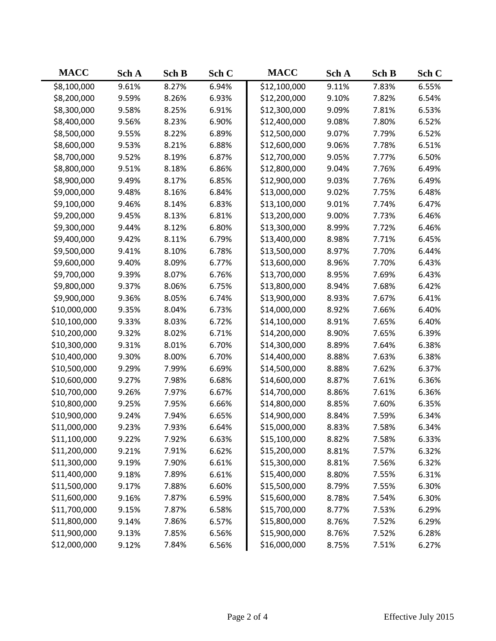| <b>MACC</b>  | Sch A | Sch B | Sch C | <b>MACC</b>  | Sch A | Sch B | Sch C |
|--------------|-------|-------|-------|--------------|-------|-------|-------|
| \$8,100,000  | 9.61% | 8.27% | 6.94% | \$12,100,000 | 9.11% | 7.83% | 6.55% |
| \$8,200,000  | 9.59% | 8.26% | 6.93% | \$12,200,000 | 9.10% | 7.82% | 6.54% |
| \$8,300,000  | 9.58% | 8.25% | 6.91% | \$12,300,000 | 9.09% | 7.81% | 6.53% |
| \$8,400,000  | 9.56% | 8.23% | 6.90% | \$12,400,000 | 9.08% | 7.80% | 6.52% |
| \$8,500,000  | 9.55% | 8.22% | 6.89% | \$12,500,000 | 9.07% | 7.79% | 6.52% |
| \$8,600,000  | 9.53% | 8.21% | 6.88% | \$12,600,000 | 9.06% | 7.78% | 6.51% |
| \$8,700,000  | 9.52% | 8.19% | 6.87% | \$12,700,000 | 9.05% | 7.77% | 6.50% |
| \$8,800,000  | 9.51% | 8.18% | 6.86% | \$12,800,000 | 9.04% | 7.76% | 6.49% |
| \$8,900,000  | 9.49% | 8.17% | 6.85% | \$12,900,000 | 9.03% | 7.76% | 6.49% |
| \$9,000,000  | 9.48% | 8.16% | 6.84% | \$13,000,000 | 9.02% | 7.75% | 6.48% |
| \$9,100,000  | 9.46% | 8.14% | 6.83% | \$13,100,000 | 9.01% | 7.74% | 6.47% |
| \$9,200,000  | 9.45% | 8.13% | 6.81% | \$13,200,000 | 9.00% | 7.73% | 6.46% |
| \$9,300,000  | 9.44% | 8.12% | 6.80% | \$13,300,000 | 8.99% | 7.72% | 6.46% |
| \$9,400,000  | 9.42% | 8.11% | 6.79% | \$13,400,000 | 8.98% | 7.71% | 6.45% |
| \$9,500,000  | 9.41% | 8.10% | 6.78% | \$13,500,000 | 8.97% | 7.70% | 6.44% |
| \$9,600,000  | 9.40% | 8.09% | 6.77% | \$13,600,000 | 8.96% | 7.70% | 6.43% |
| \$9,700,000  | 9.39% | 8.07% | 6.76% | \$13,700,000 | 8.95% | 7.69% | 6.43% |
| \$9,800,000  | 9.37% | 8.06% | 6.75% | \$13,800,000 | 8.94% | 7.68% | 6.42% |
| \$9,900,000  | 9.36% | 8.05% | 6.74% | \$13,900,000 | 8.93% | 7.67% | 6.41% |
| \$10,000,000 | 9.35% | 8.04% | 6.73% | \$14,000,000 | 8.92% | 7.66% | 6.40% |
| \$10,100,000 | 9.33% | 8.03% | 6.72% | \$14,100,000 | 8.91% | 7.65% | 6.40% |
| \$10,200,000 | 9.32% | 8.02% | 6.71% | \$14,200,000 | 8.90% | 7.65% | 6.39% |
| \$10,300,000 | 9.31% | 8.01% | 6.70% | \$14,300,000 | 8.89% | 7.64% | 6.38% |
| \$10,400,000 | 9.30% | 8.00% | 6.70% | \$14,400,000 | 8.88% | 7.63% | 6.38% |
| \$10,500,000 | 9.29% | 7.99% | 6.69% | \$14,500,000 | 8.88% | 7.62% | 6.37% |
| \$10,600,000 | 9.27% | 7.98% | 6.68% | \$14,600,000 | 8.87% | 7.61% | 6.36% |
| \$10,700,000 | 9.26% | 7.97% | 6.67% | \$14,700,000 | 8.86% | 7.61% | 6.36% |
| \$10,800,000 | 9.25% | 7.95% | 6.66% | \$14,800,000 | 8.85% | 7.60% | 6.35% |
| \$10,900,000 | 9.24% | 7.94% | 6.65% | \$14,900,000 | 8.84% | 7.59% | 6.34% |
| \$11,000,000 | 9.23% | 7.93% | 6.64% | \$15,000,000 | 8.83% | 7.58% | 6.34% |
| \$11,100,000 | 9.22% | 7.92% | 6.63% | \$15,100,000 | 8.82% | 7.58% | 6.33% |
| \$11,200,000 | 9.21% | 7.91% | 6.62% | \$15,200,000 | 8.81% | 7.57% | 6.32% |
| \$11,300,000 | 9.19% | 7.90% | 6.61% | \$15,300,000 | 8.81% | 7.56% | 6.32% |
| \$11,400,000 | 9.18% | 7.89% | 6.61% | \$15,400,000 | 8.80% | 7.55% | 6.31% |
| \$11,500,000 | 9.17% | 7.88% | 6.60% | \$15,500,000 | 8.79% | 7.55% | 6.30% |
| \$11,600,000 | 9.16% | 7.87% | 6.59% | \$15,600,000 | 8.78% | 7.54% | 6.30% |
| \$11,700,000 | 9.15% | 7.87% | 6.58% | \$15,700,000 | 8.77% | 7.53% | 6.29% |
| \$11,800,000 | 9.14% | 7.86% | 6.57% | \$15,800,000 | 8.76% | 7.52% | 6.29% |
| \$11,900,000 | 9.13% | 7.85% | 6.56% | \$15,900,000 | 8.76% | 7.52% | 6.28% |
| \$12,000,000 | 9.12% | 7.84% | 6.56% | \$16,000,000 | 8.75% | 7.51% | 6.27% |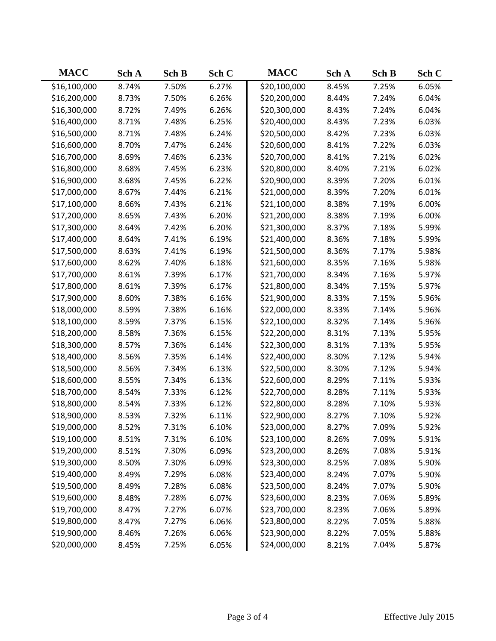| <b>MACC</b>  | Sch A | Sch B | Sch C | <b>MACC</b>  | Sch A | Sch B | Sch C |
|--------------|-------|-------|-------|--------------|-------|-------|-------|
| \$16,100,000 | 8.74% | 7.50% | 6.27% | \$20,100,000 | 8.45% | 7.25% | 6.05% |
| \$16,200,000 | 8.73% | 7.50% | 6.26% | \$20,200,000 | 8.44% | 7.24% | 6.04% |
| \$16,300,000 | 8.72% | 7.49% | 6.26% | \$20,300,000 | 8.43% | 7.24% | 6.04% |
| \$16,400,000 | 8.71% | 7.48% | 6.25% | \$20,400,000 | 8.43% | 7.23% | 6.03% |
| \$16,500,000 | 8.71% | 7.48% | 6.24% | \$20,500,000 | 8.42% | 7.23% | 6.03% |
| \$16,600,000 | 8.70% | 7.47% | 6.24% | \$20,600,000 | 8.41% | 7.22% | 6.03% |
| \$16,700,000 | 8.69% | 7.46% | 6.23% | \$20,700,000 | 8.41% | 7.21% | 6.02% |
| \$16,800,000 | 8.68% | 7.45% | 6.23% | \$20,800,000 | 8.40% | 7.21% | 6.02% |
| \$16,900,000 | 8.68% | 7.45% | 6.22% | \$20,900,000 | 8.39% | 7.20% | 6.01% |
| \$17,000,000 | 8.67% | 7.44% | 6.21% | \$21,000,000 | 8.39% | 7.20% | 6.01% |
| \$17,100,000 | 8.66% | 7.43% | 6.21% | \$21,100,000 | 8.38% | 7.19% | 6.00% |
| \$17,200,000 | 8.65% | 7.43% | 6.20% | \$21,200,000 | 8.38% | 7.19% | 6.00% |
| \$17,300,000 | 8.64% | 7.42% | 6.20% | \$21,300,000 | 8.37% | 7.18% | 5.99% |
| \$17,400,000 | 8.64% | 7.41% | 6.19% | \$21,400,000 | 8.36% | 7.18% | 5.99% |
| \$17,500,000 | 8.63% | 7.41% | 6.19% | \$21,500,000 | 8.36% | 7.17% | 5.98% |
| \$17,600,000 | 8.62% | 7.40% | 6.18% | \$21,600,000 | 8.35% | 7.16% | 5.98% |
| \$17,700,000 | 8.61% | 7.39% | 6.17% | \$21,700,000 | 8.34% | 7.16% | 5.97% |
| \$17,800,000 | 8.61% | 7.39% | 6.17% | \$21,800,000 | 8.34% | 7.15% | 5.97% |
| \$17,900,000 | 8.60% | 7.38% | 6.16% | \$21,900,000 | 8.33% | 7.15% | 5.96% |
| \$18,000,000 | 8.59% | 7.38% | 6.16% | \$22,000,000 | 8.33% | 7.14% | 5.96% |
| \$18,100,000 | 8.59% | 7.37% | 6.15% | \$22,100,000 | 8.32% | 7.14% | 5.96% |
| \$18,200,000 | 8.58% | 7.36% | 6.15% | \$22,200,000 | 8.31% | 7.13% | 5.95% |
| \$18,300,000 | 8.57% | 7.36% | 6.14% | \$22,300,000 | 8.31% | 7.13% | 5.95% |
| \$18,400,000 | 8.56% | 7.35% | 6.14% | \$22,400,000 | 8.30% | 7.12% | 5.94% |
| \$18,500,000 | 8.56% | 7.34% | 6.13% | \$22,500,000 | 8.30% | 7.12% | 5.94% |
| \$18,600,000 | 8.55% | 7.34% | 6.13% | \$22,600,000 | 8.29% | 7.11% | 5.93% |
| \$18,700,000 | 8.54% | 7.33% | 6.12% | \$22,700,000 | 8.28% | 7.11% | 5.93% |
| \$18,800,000 | 8.54% | 7.33% | 6.12% | \$22,800,000 | 8.28% | 7.10% | 5.93% |
| \$18,900,000 | 8.53% | 7.32% | 6.11% | \$22,900,000 | 8.27% | 7.10% | 5.92% |
| \$19,000,000 | 8.52% | 7.31% | 6.10% | \$23,000,000 | 8.27% | 7.09% | 5.92% |
| \$19,100,000 | 8.51% | 7.31% | 6.10% | \$23,100,000 | 8.26% | 7.09% | 5.91% |
| \$19,200,000 | 8.51% | 7.30% | 6.09% | \$23,200,000 | 8.26% | 7.08% | 5.91% |
| \$19,300,000 | 8.50% | 7.30% | 6.09% | \$23,300,000 | 8.25% | 7.08% | 5.90% |
| \$19,400,000 | 8.49% | 7.29% | 6.08% | \$23,400,000 | 8.24% | 7.07% | 5.90% |
| \$19,500,000 | 8.49% | 7.28% | 6.08% | \$23,500,000 | 8.24% | 7.07% | 5.90% |
| \$19,600,000 | 8.48% | 7.28% | 6.07% | \$23,600,000 | 8.23% | 7.06% | 5.89% |
| \$19,700,000 | 8.47% | 7.27% | 6.07% | \$23,700,000 | 8.23% | 7.06% | 5.89% |
| \$19,800,000 | 8.47% | 7.27% | 6.06% | \$23,800,000 | 8.22% | 7.05% | 5.88% |
| \$19,900,000 | 8.46% | 7.26% | 6.06% | \$23,900,000 | 8.22% | 7.05% | 5.88% |
| \$20,000,000 | 8.45% | 7.25% | 6.05% | \$24,000,000 | 8.21% | 7.04% | 5.87% |